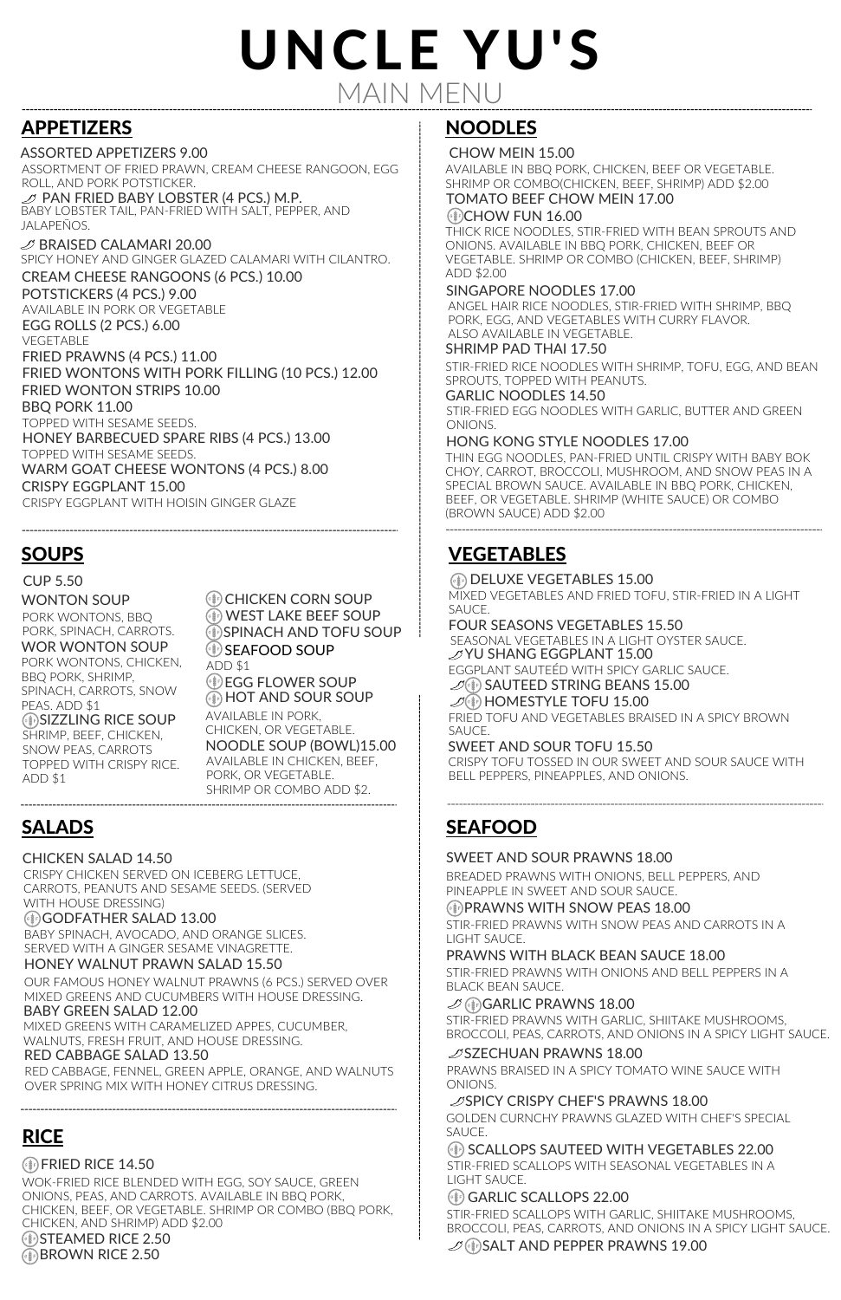## MAIN MENU UNCLE YU'S

## APPETIZERS

ASSORTMENT OF FRIED PRAWN, CREAM CHEESE RANGOON, EGG ROLL, AND PORK POTSTICKER.  $\mathcal D$  PAN FRIED BABY LOBSTER (4 PCS.) M.P.

ASSORTED APPETIZERS 9.00

## SOUPS

 $\mathcal D$  BRAISED CALAMARI 20.00 SPICY HONEY AND GINGER GLAZED CALAMARI WITH CILANTRO.

BABY LOBSTER TAIL, PAN-FRIED WITH SALT, PEPPER, AND JALAPEÑOS.

CUP 5.50

WONTON SOUP WOR WONTON SOUP PORK WONTONS, CHICKEN, PORK WONTONS, BBQ PORK, SPINACH, CARROTS.

PEAS. ADD \$1

SNOW PEAS, CARROTS TOPPED WITH CRISPY RICE. ADD \$1

**(68F) CHICKEN CORN SOUP GIFT SPINACH AND TOFU SOUP** WEST LAKE BEEF SOUP **(IF) SEAFOOD SOUP** 

*<b>EDD* EGG FLOWER SOUP **(** $\downarrow$ ) HOT AND SOUR SOUP

AVAILABLE IN PORK, CHICKEN, OR VEGETABLE. NOODLE SOUP (BOWL)15.00 AVAILABLE IN CHICKEN, BEEF, PORK, OR VEGETABLE. SHRIMP OR COMBO ADD \$2.

POTSTICKERS (4 PCS.) 9.00 FRIED PRAWNS (4 PCS.) 11.00 EGG ROLLS (2 PCS.) 6.00 CREAM CHEESE RANGOONS (6 PCS.) 10.00 AVAILABLE IN PORK OR VEGETABLE VEGETABLE FRIED WONTONS WITH PORK FILLING (10 PCS.) 12.00 FRIED WONTON STRIPS 10.00 BBQ PORK 11.00 HONEY BARBECUED SPARE RIBS (4 PCS.) 13.00 WARM GOAT CHEESE WONTONS (4 PCS.) 8.00 CRISPY EGGPLANT 15.00 CRISPY EGGPLANT WITH HOISIN GINGER GLAZE TOPPED WITH SESAME SEEDS. TOPPED WITH SESAME SEEDS.

## SALADS

CRISPY CHICKEN SERVED ON ICEBERG LETTUCE, CARROTS, PEANUTS AND SESAME SEEDS. (SERVED WITH HOUSE DRESSING)

#### CHICKEN SALAD 14.50

#### GODFATHER SALAD 13.00

BABY SPINACH, AVOCADO, AND ORANGE SLICES. SERVED WITH A GINGER SESAME VINAGRETTE.

WOK-FRIED RICE BLENDED WITH EGG, SOY SAUCE, GREEN ONIONS, PEAS, AND CARROTS. AVAILABLE IN BBQ PORK, CHICKEN, BEEF, OR VEGETABLE. SHRIMP OR COMBO (BBQ PORK, CHICKEN, AND SHRIMP) ADD \$2.00 **Ginal STEAMED RICE 2.50** Gin BROWN RICE 2.50

#### HONEY WALNUT PRAWN SALAD 15.50

#### OUR FAMOUS HONEY WALNUT PRAWNS (6 PCS.) SERVED OVER MIXED GREENS AND CUCUMBERS WITH HOUSE DRESSING. BABY GREEN SALAD 12.00

MIXED GREENS WITH CARAMELIZED APPES, CUCUMBER, WALNUTS, FRESH FRUIT, AND HOUSE DRESSING. RED CABBAGE SALAD 13.50

 $\mathscr{D}(\ddot{\ast})$  HOMESTYLE TOFU 15.00 FRIED TOFU AND VEGETABLES BRAISED IN A SPICY BROWN SAUCE.

RED CABBAGE, FENNEL, GREEN APPLE, ORANGE, AND WALNUTS OVER SPRING MIX WITH HONEY CITRUS DRESSING.

## NOODLES

CHOW MEIN 15.00

AVAILABLE IN BBQ PORK, CHICKEN, BEEF OR VEGETABLE. SHRIMP OR COMBO(CHICKEN, BEEF, SHRIMP) ADD \$2.00 TOMATO BEEF CHOW MEIN 17.00

#### $(e\$ )CHOW FUN 16.00

THICK RICE NOODLES, STIR-FRIED WITH BEAN SPROUTS AND ONIONS. AVAILABLE IN BBQ PORK, CHICKEN, BEEF OR VEGETABLE. SHRIMP OR COMBO (CHICKEN, BEEF, SHRIMP) ADD \$2.00

#### SINGAPORE NOODLES 17.00

ANGEL HAIR RICE NOODLES, STIR-FRIED WITH SHRIMP, BBQ PORK, EGG, AND VEGETABLES WITH CURRY FLAVOR. ALSO AVAILABLE IN VEGETABLE.

SHRIMP PAD THAI 17.50

STIR-FRIED RICE NOODLES WITH SHRIMP, TOFU, EGG, AND BEAN SPROUTS, TOPPED WITH PEANUTS.

#### GARLIC NOODLES 14.50

STIR-FRIED EGG NOODLES WITH GARLIC, BUTTER AND GREEN ONIONS.

#### HONG KONG STYLE NOODLES 17.00

SIZZLING RICE SOUP BBQ PORK, SHRIMP, SPINACH, CARROTS, SNOW SHRIMP, BEEF, CHICKEN, ADD \$1 THIN EGG NOODLES, PAN-FRIED UNTIL CRISPY WITH BABY BOK CHOY, CARROT, BROCCOLI, MUSHROOM, AND SNOW PEAS IN A SPECIAL BROWN SAUCE. AVAILABLE IN BBQ PORK, CHICKEN, BEEF, OR VEGETABLE. SHRIMP (WHITE SAUCE) OR COMBO (BROWN SAUCE) ADD \$2.00

## RICE

#### $(*)$ FRIED RICE 14.50

## VEGETABLES

**Gight DELUXE VEGETABLES 15.00** 

MIXED VEGETABLES AND FRIED TOFU, STIR-FRIED IN A LIGHT SAUCE.

FOUR SEASONS VEGETABLES 15.50

SEASONAL VEGETABLES IN A LIGHT OYSTER SAUCE. YU SHANG EGGPLANT 15.00 EGGPLANT SAUTEÉD WITH SPICY GARLIC SAUCE.

 $\mathscr{D}(\mathbf{\#})$  SAUTEED STRING BEANS 15.00

#### SWEET AND SOUR TOFU 15.50

CRISPY TOFU TOSSED IN OUR SWEET AND SOUR SAUCE WITH BELL PEPPERS, PINEAPPLES, AND ONIONS.

## SEAFOOD

#### PRAWNS WITH SNOW PEAS 18.00

#### SWEET AND SOUR PRAWNS 18.00

BREADED PRAWNS WITH ONIONS, BELL PEPPERS, AND PINEAPPLE IN SWEET AND SOUR SAUCE.

#### PRAWNS WITH BLACK BEAN SAUCE 18.00

SCALLOPS SAUTEED WITH VEGETABLES 22.00

PRAWNS BRAISED IN A SPICY TOMATO WINE SAUCE WITH ONIONS.

#### $\mathcal{D}$ SPICY CRISPY CHEF'S PRAWNS 18.00

STIR-FRIED SCALLOPS WITH SEASONAL VEGETABLES IN A LIGHT SAUCE.

#### GEER GARLIC SCALLOPS 22.00

STIR-FRIED PRAWNS WITH SNOW PEAS AND CARROTS IN A LIGHT SAUCE.

STIR-FRIED PRAWNS WITH ONIONS AND BELL PEPPERS IN A BLACK BEAN SAUCE.

#### $\mathcal{D}$  (iii) GARLIC PRAWNS 18.00

STIR-FRIED PRAWNS WITH GARLIC, SHIITAKE MUSHROOMS, BROCCOLI, PEAS, CARROTS, AND ONIONS IN A SPICY LIGHT SAUCE.

#### $\mathcal{D}$ SZECHUAN PRAWNS 18.00

GOLDEN CURNCHY PRAWNS GLAZED WITH CHEF'S SPECIAL SAUCE.

STIR-FRIED SCALLOPS WITH GARLIC, SHIITAKE MUSHROOMS, BROCCOLI, PEAS, CARROTS, AND ONIONS IN A SPICY LIGHT SAUCE.

 $\mathcal{S}(\mathbf{N})$ SALT AND PEPPER PRAWNS 19.00